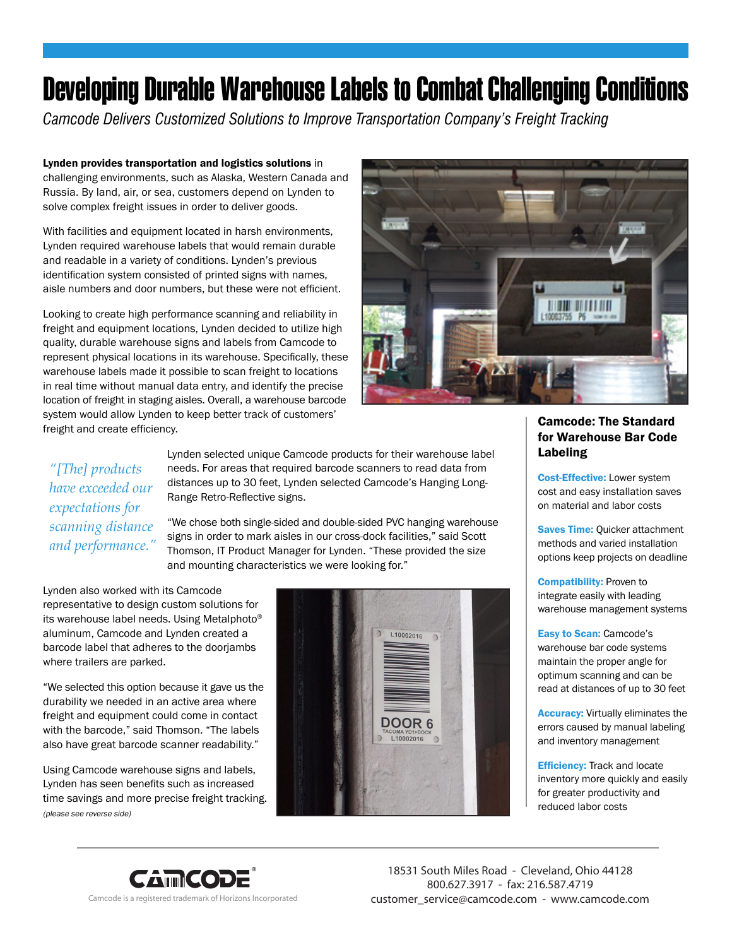## Developing Durable Warehouse Labels to Combat Challenging Conditions

*Camcode Delivers Customized Solutions to Improve Transportation Company's Freight Tracking*

Lynden provides transportation and logistics solutions in challenging environments, such as Alaska, Western Canada and Russia. By land, air, or sea, customers depend on Lynden to solve complex freight issues in order to deliver goods.

With facilities and equipment located in harsh environments, Lynden required warehouse labels that would remain durable and readable in a variety of conditions. Lynden's previous identification system consisted of printed signs with names, aisle numbers and door numbers, but these were not efficient.

Looking to create high performance scanning and reliability in freight and equipment locations, Lynden decided to utilize high quality, durable warehouse signs and labels from Camcode to represent physical locations in its warehouse. Specifically, these warehouse labels made it possible to scan freight to locations in real time without manual data entry, and identify the precise location of freight in staging aisles. Overall, a warehouse barcode system would allow Lynden to keep better track of customers' freight and create efficiency.



## *"[The] products have exceeded our expectations for scanning distance and performance."*

Lynden selected unique Camcode products for their warehouse label needs. For areas that required barcode scanners to read data from distances up to 30 feet, Lynden selected Camcode's Hanging Long-Range Retro-Reflective signs.

"We chose both single-sided and double-sided PVC hanging warehouse signs in order to mark aisles in our cross-dock facilities," said Scott Thomson, IT Product Manager for Lynden. "These provided the size and mounting characteristics we were looking for."

Lynden also worked with its Camcode representative to design custom solutions for its warehouse label needs. Using Metalphoto® aluminum, Camcode and Lynden created a barcode label that adheres to the doorjambs where trailers are parked.

"We selected this option because it gave us the durability we needed in an active area where freight and equipment could come in contact with the barcode," said Thomson. "The labels also have great barcode scanner readability."

Using Camcode warehouse signs and labels, Lynden has seen benefits such as increased time savings and more precise freight tracking. (please see reverse side)



Camcode: The Standard for Warehouse Bar Code Labeling

Cost-Effective: Lower system cost and easy installation saves on material and labor costs

**Saves Time: Quicker attachment** methods and varied installation options keep projects on deadline

**Compatibility: Proven to** integrate easily with leading warehouse management systems

Easy to Scan: Camcode's warehouse bar code systems maintain the proper angle for optimum scanning and can be read at distances of up to 30 feet

Accuracy: Virtually eliminates the errors caused by manual labeling and inventory management

**Efficiency:** Track and locate inventory more quickly and easily for greater productivity and reduced labor costs